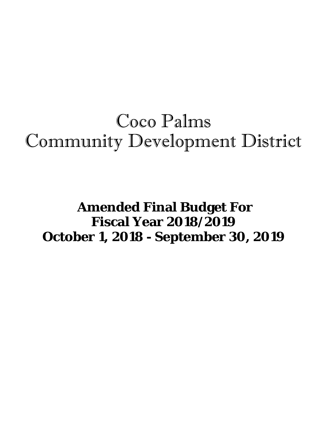# Coco Palms Community Development District

## **Amended Final Budget For Fiscal Year 2018/2019 October 1, 2018 - September 30, 2019**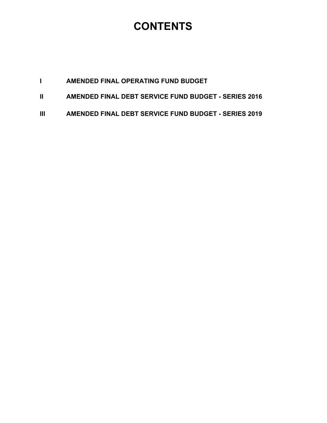### **CONTENTS**

|--|

- **II AMENDED FINAL DEBT SERVICE FUND BUDGET SERIES 2016**
- **III AMENDED FINAL DEBT SERVICE FUND BUDGET SERIES 2019**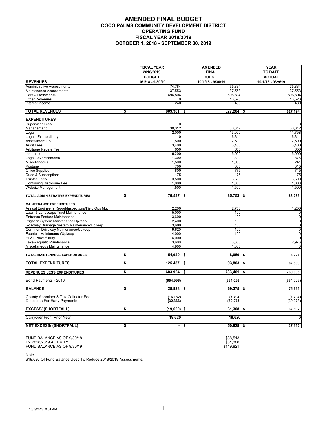#### **AMENDED FINAL BUDGET COCO PALMS COMMUNITY DEVELOPMENT DISTRICT OPERATING FUND FISCAL YEAR 2018/2019 OCTOBER 1, 2018 - SEPTEMBER 30, 2019**

|                                                                   | <b>FISCAL YEAR</b> | <b>AMENDED</b>                                | <b>YEAR</b>                      |
|-------------------------------------------------------------------|--------------------|-----------------------------------------------|----------------------------------|
|                                                                   | 2018/2019          | <b>FINAL</b>                                  | <b>TO DATE</b>                   |
|                                                                   | <b>BUDGET</b>      | <b>BUDGET</b>                                 | <b>ACTUAL</b>                    |
| <b>REVENUES</b>                                                   | 10/1/18 - 9/30/19  | 10/1/18 - 9/30/19                             | 10/1/18 - 9/29/19                |
| Administrative Assessments                                        | 74,784             | 75,834                                        | 75,834                           |
| Maintenance Assessments                                           | 37,553             | 37,553                                        | 37,553                           |
| <b>Debt Assessments</b>                                           | 696,804            | 696,804                                       | 696,804                          |
| <b>Other Revenues</b>                                             |                    | $\Omega$<br>16,523<br>490                     | 16,523                           |
| Interest Income                                                   | 240                |                                               | 480                              |
| <b>TOTAL REVENUES</b>                                             | 809,381<br>\$      | 827,204<br>\$                                 | 827,194<br>\$                    |
| <b>EXPENDITURES</b>                                               |                    |                                               |                                  |
| <b>Supervisor Fees</b>                                            |                    | $\mathbf 0$<br>0                              | $\mathbf 0$                      |
| Management                                                        | 30,312             | 30,312                                        | 30,312                           |
| Legal                                                             | 12,000             | 13,000                                        | 11,758                           |
| Legal - Extraordinary                                             |                    | $\mathbf{0}$<br>16,311                        | 16,311                           |
| Assessment Roll                                                   | 7,500              | 7,500                                         | 7,500                            |
| <b>Audit Fees</b>                                                 | 3,400              | 3,400                                         | 3,400                            |
| Arbitrage Rebate Fee                                              | 650                | 650                                           | 650                              |
| Insurance                                                         | 6,200              | 5,000                                         | 5,000                            |
| <b>Legal Advertisements</b>                                       | 1,300              | 1,300                                         | 876                              |
| Miscellaneous                                                     | 1,500              | 1,000                                         | 241                              |
| Postage                                                           | 700                | 330                                           | 315                              |
| <b>Office Supplies</b>                                            | 800                | 775                                           | 745                              |
| Dues & Subscriptions                                              | 175                | 175                                           | $\frac{1}{175}$                  |
| <b>Trustee Fees</b>                                               | 3,500              | 3,500                                         | 3,500                            |
| <b>Continuing Disclosure Fee</b>                                  | 1,000              | 1,000                                         | 1,000                            |
| <b>Website Management</b>                                         | 1,500              | 1,500                                         | 1,500                            |
| TOTAL ADMINISTRATIVE EXPENDITURES                                 | $70,537$ \$<br>\$  | $85,753$ \$                                   | 83,283                           |
|                                                                   |                    |                                               |                                  |
| <b>MAINTENANCE EXPENDITURES</b>                                   |                    |                                               |                                  |
| Annual Engineer's Report/Inspections/Field Ops Mgt                | 2,200              | 2,750                                         | 1,250                            |
| Lawn & Landscape Tract Maintenance                                | 5,000              | 100                                           | $\pmb{0}$                        |
| <b>Entrance Feature Maintenance</b>                               | 3,600              | 100                                           | $\overline{0}$<br>$\overline{0}$ |
| Irrigation System Maintenance/Upkeep                              | 2,400              | 100                                           |                                  |
| Roadway/Drainage System Maintenance/Upkeep                        | 3,600              | 100                                           | $\pmb{0}$                        |
| Common Driveway Maintenance/Upkeep<br>Fountain Maintenance/Upkeep | 19,620<br>4,000    | 100<br>100                                    | $\pmb{0}$<br>$\pmb{0}$           |
| FP&L Power/Utility                                                | 6,000              | 100                                           | $\pmb{0}$                        |
| Lake - Aquatic Maintenance                                        | 3,600              | 3,600                                         | 2,976                            |
| Miscellaneous Maintenance                                         | 4,900              | 1,000                                         | $\Omega$                         |
|                                                                   |                    |                                               |                                  |
| TOTAL MAINTENANCE EXPENDITURES                                    | $54,920$ \$<br>\$  | $8,050$ \$                                    | 4,226                            |
| <b>TOTAL EXPENDITURES</b>                                         | \$<br>125,457      | $93,803$ \$<br>\$                             | 87,509                           |
| <b>REVENUES LESS EXPENDITURES</b>                                 | \$<br>683,924      | \$<br>733,401                                 | \$<br>739,685                    |
| Bond Payments - 2016                                              | (654, 996)         | (664, 026)                                    | (664, 026)                       |
| <b>BALANCE</b>                                                    | \$                 |                                               |                                  |
|                                                                   | $28,928$ \$        | $69,375$ \$                                   | 75,659                           |
| County Appraiser & Tax Collector Fee                              | (16, 182)          | (7, 794)                                      | (7, 794)                         |
| <b>Discounts For Early Payments</b>                               | (32, 366)          | (30, 273)                                     | (30, 273)                        |
| <b>EXCESS/ (SHORTFALL)</b>                                        | (19,620) \$<br>\$  | $31,308$ \$                                   | 37,592                           |
| Carryover From Prior Year                                         | 19,620             | 19,620                                        | $\mathbf 0$                      |
| <b>NET EXCESS/ (SHORTFALL)</b>                                    | \$                 | $50,928$ \$<br>\$<br>$\overline{\phantom{0}}$ | 37,592                           |

| 1.308<br><b>CO1</b><br>FY 2018/2019 ACTIVITY<br>აა<br>\$119.821<br>FUND BALANCE AS OF 9/30/19 | FUND BALANCE AS OF 9/30/18 | \$88.513 |
|-----------------------------------------------------------------------------------------------|----------------------------|----------|
|                                                                                               |                            |          |
|                                                                                               |                            |          |

Note

\$19,620 Of Fund Balance Used To Reduce 2018/2019 Assessments.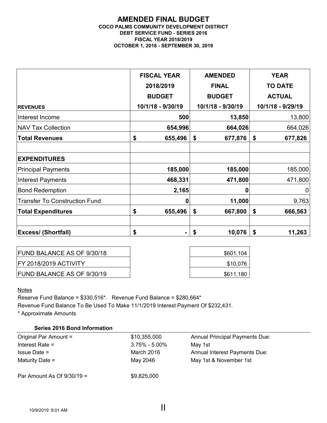#### **AMENDED FINAL BUDGET COCO PALMS COMMUNITY DEVELOPMENT DISTRICT DEBT SERVICE FUND - SERIES 2016 FISCAL YEAR 2018/2019 OCTOBER 1, 2018 - SEPTEMBER 30, 2019**

|                                      | <b>FISCAL YEAR</b> | <b>AMENDED</b>    | <b>YEAR</b>       |
|--------------------------------------|--------------------|-------------------|-------------------|
|                                      | 2018/2019          | <b>FINAL</b>      | <b>TO DATE</b>    |
|                                      | <b>BUDGET</b>      | <b>BUDGET</b>     | <b>ACTUAL</b>     |
| <b>REVENUES</b>                      | 10/1/18 - 9/30/19  | 10/1/18 - 9/30/19 | 10/1/18 - 9/29/19 |
| Interest Income                      | 500                | 13,850            | 13,800            |
| <b>NAV Tax Collection</b>            | 654,996            | 664,026           | 664,026           |
| <b>Total Revenues</b>                | \$<br>655,496      | \$<br>677,876     | \$<br>677,826     |
| <b>EXPENDITURES</b>                  |                    |                   |                   |
| <b>Principal Payments</b>            | 185,000            | 185,000           | 185,000           |
| <b>Interest Payments</b>             | 468,331            | 471,800           | 471,800           |
| <b>Bond Redemption</b>               | 2,165              | 0                 | 0                 |
| <b>Transfer To Construction Fund</b> | Ω                  | 11,000            | 9,763             |
| <b>Total Expenditures</b>            | \$<br>655,496      | \$<br>667,800     | \$<br>666,563     |
| <b>Excess/ (Shortfall)</b>           | \$                 | 10,076<br>\$      | \$<br>11,263      |

| <b>FUND BALANCE AS OF 9/30/18</b> | \$601,104 |
|-----------------------------------|-----------|
| <b>FY 2018/2019 ACTIVITY</b>      | \$10,076  |
| <b>FUND BALANCE AS OF 9/30/19</b> | \$611,180 |

**Notes** 

Reserve Fund Balance = \$330,516\*. Revenue Fund Balance = \$280,664\* Revenue Fund Balance To Be Used To Make 11/1/2019 Interest Payment Of \$232,431. \* Approximate Amounts

| <b>Series 2016 Bond Information</b> |                   |                                       |
|-------------------------------------|-------------------|---------------------------------------|
| Original Par Amount =               | \$10,355,000      | <b>Annual Principal Payments Due:</b> |
| Interest Rate $=$                   | $3.75\% - 5.00\%$ | May 1st                               |
| $l$ ssue Date =                     | March 2016        | Annual Interest Payments Due:         |
| Maturity Date $=$                   | May 2046          | May 1st & November 1st                |
| Par Amount As Of $9/30/19 =$        | \$9,825,000       |                                       |